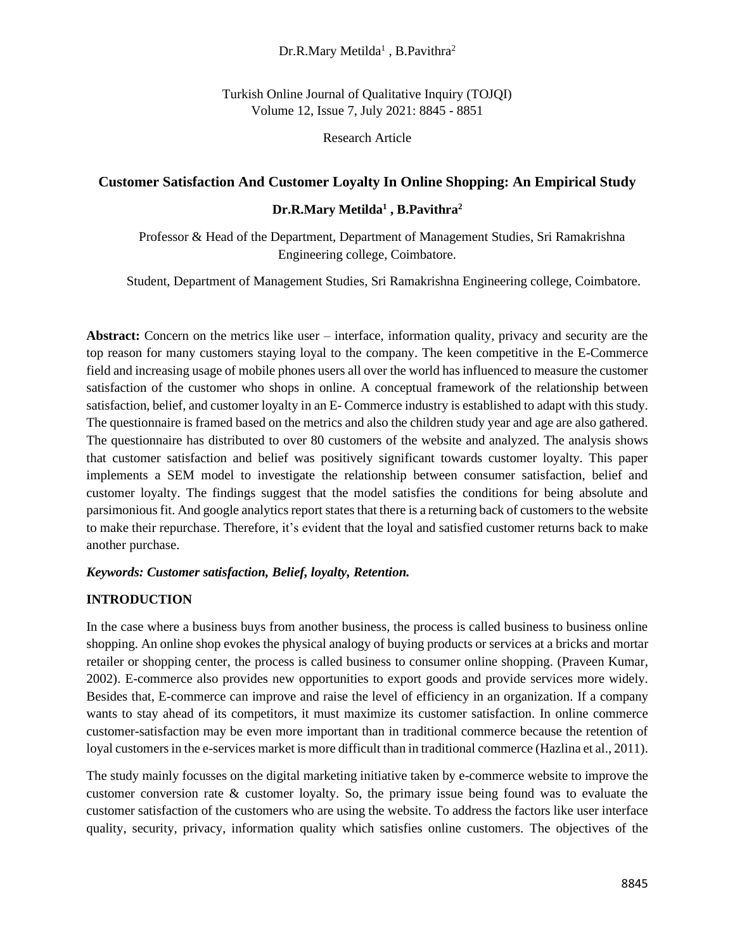### $Dr.R.Mary Metilda<sup>1</sup>$ , B.Pavithra<sup>2</sup>

Turkish Online Journal of Qualitative Inquiry (TOJQI) Volume 12, Issue 7, July 2021: 8845 - 8851

Research Article

### **Customer Satisfaction And Customer Loyalty In Online Shopping: An Empirical Study**

### **Dr.R.Mary Metilda<sup>1</sup> , B.Pavithra<sup>2</sup>**

 Professor & Head of the Department, Department of Management Studies, Sri Ramakrishna Engineering college, Coimbatore.

Student, Department of Management Studies, Sri Ramakrishna Engineering college, Coimbatore.

**Abstract:** Concern on the metrics like user – interface, information quality, privacy and security are the top reason for many customers staying loyal to the company. The keen competitive in the E-Commerce field and increasing usage of mobile phones users all over the world has influenced to measure the customer satisfaction of the customer who shops in online. A conceptual framework of the relationship between satisfaction, belief, and customer loyalty in an E- Commerce industry is established to adapt with this study. The questionnaire is framed based on the metrics and also the children study year and age are also gathered. The questionnaire has distributed to over 80 customers of the website and analyzed. The analysis shows that customer satisfaction and belief was positively significant towards customer loyalty. This paper implements a SEM model to investigate the relationship between consumer satisfaction, belief and customer loyalty. The findings suggest that the model satisfies the conditions for being absolute and parsimonious fit. And google analytics report states that there is a returning back of customers to the website to make their repurchase. Therefore, it's evident that the loyal and satisfied customer returns back to make another purchase.

### *Keywords: Customer satisfaction, Belief, loyalty, Retention.*

### **INTRODUCTION**

In the case where a business buys from another business, the process is called business to business online shopping. An online shop evokes the physical analogy of buying products or services at a bricks and mortar retailer or shopping center, the process is called business to consumer online shopping. (Praveen Kumar, 2002). E-commerce also provides new opportunities to export goods and provide services more widely. Besides that, E-commerce can improve and raise the level of efficiency in an organization. If a company wants to stay ahead of its competitors, it must maximize its customer satisfaction. In online commerce customer-satisfaction may be even more important than in traditional commerce because the retention of loyal customers in the e-services market is more difficult than in traditional commerce (Hazlina et al., 2011).

The study mainly focusses on the digital marketing initiative taken by e-commerce website to improve the customer conversion rate & customer loyalty. So, the primary issue being found was to evaluate the customer satisfaction of the customers who are using the website. To address the factors like user interface quality, security, privacy, information quality which satisfies online customers. The objectives of the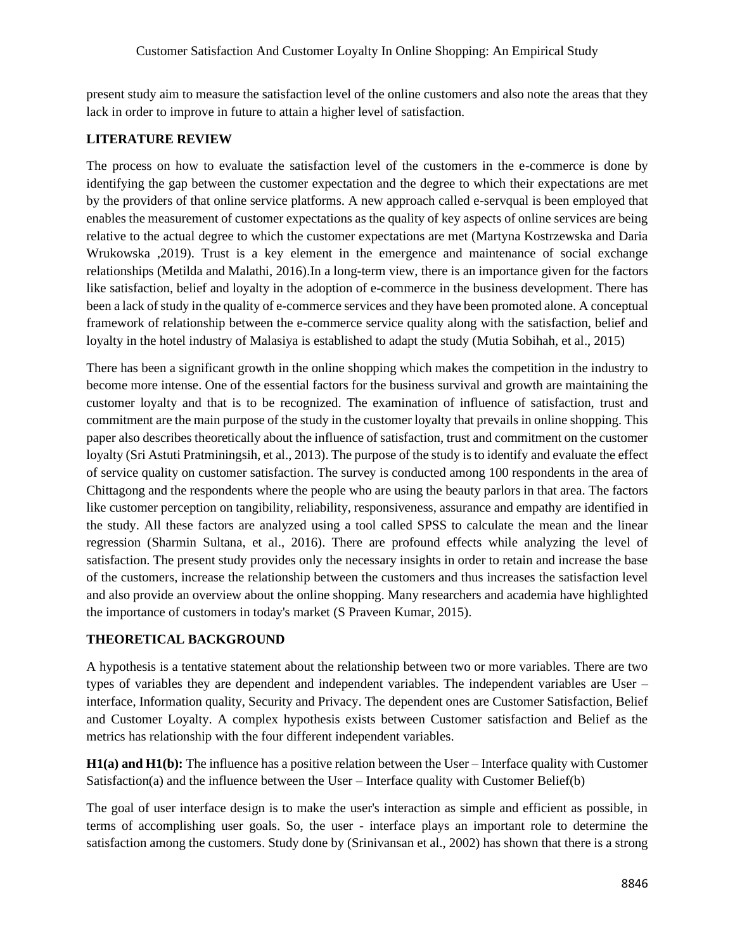present study aim to measure the satisfaction level of the online customers and also note the areas that they lack in order to improve in future to attain a higher level of satisfaction.

# **LITERATURE REVIEW**

The process on how to evaluate the satisfaction level of the customers in the e-commerce is done by identifying the gap between the customer expectation and the degree to which their expectations are met by the providers of that online service platforms. A new approach called e-servqual is been employed that enables the measurement of customer expectations as the quality of key aspects of online services are being relative to the actual degree to which the customer expectations are met (Martyna Kostrzewska and Daria Wrukowska ,2019). Trust is a key element in the emergence and maintenance of social exchange relationships (Metilda and Malathi, 2016).In a long-term view, there is an importance given for the factors like satisfaction, belief and loyalty in the adoption of e-commerce in the business development. There has been a lack of study in the quality of e-commerce services and they have been promoted alone. A conceptual framework of relationship between the e-commerce service quality along with the satisfaction, belief and loyalty in the hotel industry of Malasiya is established to adapt the study (Mutia Sobihah, et al., 2015)

There has been a significant growth in the online shopping which makes the competition in the industry to become more intense. One of the essential factors for the business survival and growth are maintaining the customer loyalty and that is to be recognized. The examination of influence of satisfaction, trust and commitment are the main purpose of the study in the customer loyalty that prevails in online shopping. This paper also describes theoretically about the influence of satisfaction, trust and commitment on the customer loyalty (Sri Astuti Pratminingsih, et al., 2013). The purpose of the study is to identify and evaluate the effect of service quality on customer satisfaction. The survey is conducted among 100 respondents in the area of Chittagong and the respondents where the people who are using the beauty parlors in that area. The factors like customer perception on tangibility, reliability, responsiveness, assurance and empathy are identified in the study. All these factors are analyzed using a tool called SPSS to calculate the mean and the linear regression (Sharmin Sultana, et al., 2016). There are profound effects while analyzing the level of satisfaction. The present study provides only the necessary insights in order to retain and increase the base of the customers, increase the relationship between the customers and thus increases the satisfaction level and also provide an overview about the online shopping. Many researchers and academia have highlighted the importance of customers in today's market (S Praveen Kumar, 2015).

# **THEORETICAL BACKGROUND**

A hypothesis is a tentative statement about the relationship between two or more variables. There are two types of variables they are dependent and independent variables. The independent variables are User – interface, Information quality, Security and Privacy. The dependent ones are Customer Satisfaction, Belief and Customer Loyalty. A complex hypothesis exists between Customer satisfaction and Belief as the metrics has relationship with the four different independent variables.

**H1(a) and H1(b):** The influence has a positive relation between the User – Interface quality with Customer Satisfaction(a) and the influence between the User – Interface quality with Customer Belief(b)

The goal of user interface design is to make the user's interaction as simple and efficient as possible, in terms of accomplishing user goals. So, the user - interface plays an important role to determine the satisfaction among the customers. Study done by (Srinivansan et al., 2002) has shown that there is a strong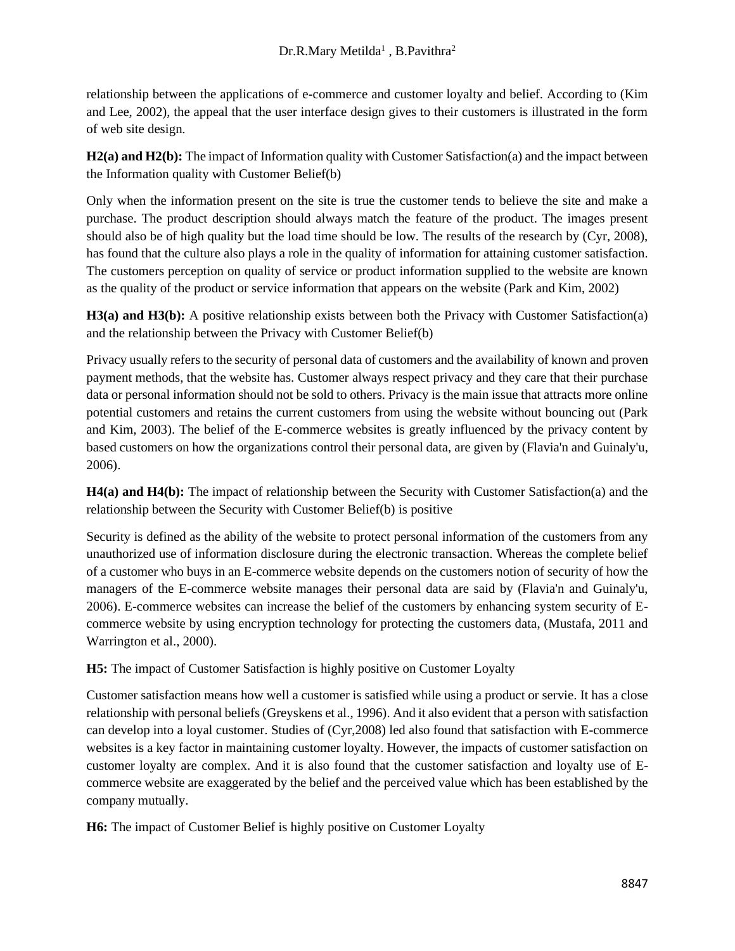relationship between the applications of e-commerce and customer loyalty and belief. According to (Kim and Lee, 2002), the appeal that the user interface design gives to their customers is illustrated in the form of web site design.

**H2(a) and H2(b):** The impact of Information quality with Customer Satisfaction(a) and the impact between the Information quality with Customer Belief(b)

Only when the information present on the site is true the customer tends to believe the site and make a purchase. The product description should always match the feature of the product. The images present should also be of high quality but the load time should be low. The results of the research by (Cyr, 2008), has found that the culture also plays a role in the quality of information for attaining customer satisfaction. The customers perception on quality of service or product information supplied to the website are known as the quality of the product or service information that appears on the website (Park and Kim, 2002)

**H3(a) and H3(b):** A positive relationship exists between both the Privacy with Customer Satisfaction(a) and the relationship between the Privacy with Customer Belief(b)

Privacy usually refers to the security of personal data of customers and the availability of known and proven payment methods, that the website has. Customer always respect privacy and they care that their purchase data or personal information should not be sold to others. Privacy is the main issue that attracts more online potential customers and retains the current customers from using the website without bouncing out (Park and Kim, 2003). The belief of the E-commerce websites is greatly influenced by the privacy content by based customers on how the organizations control their personal data, are given by (Flavia'n and Guinaly'u, 2006).

**H4(a) and H4(b):** The impact of relationship between the Security with Customer Satisfaction(a) and the relationship between the Security with Customer Belief(b) is positive

Security is defined as the ability of the website to protect personal information of the customers from any unauthorized use of information disclosure during the electronic transaction. Whereas the complete belief of a customer who buys in an E-commerce website depends on the customers notion of security of how the managers of the E-commerce website manages their personal data are said by (Flavia'n and Guinaly'u, 2006). E-commerce websites can increase the belief of the customers by enhancing system security of Ecommerce website by using encryption technology for protecting the customers data, (Mustafa, 2011 and Warrington et al., 2000).

**H5:** The impact of Customer Satisfaction is highly positive on Customer Loyalty

Customer satisfaction means how well a customer is satisfied while using a product or servie. It has a close relationship with personal beliefs (Greyskens et al., 1996). And it also evident that a person with satisfaction can develop into a loyal customer. Studies of (Cyr,2008) led also found that satisfaction with E-commerce websites is a key factor in maintaining customer loyalty. However, the impacts of customer satisfaction on customer loyalty are complex. And it is also found that the customer satisfaction and loyalty use of Ecommerce website are exaggerated by the belief and the perceived value which has been established by the company mutually.

**H6:** The impact of Customer Belief is highly positive on Customer Loyalty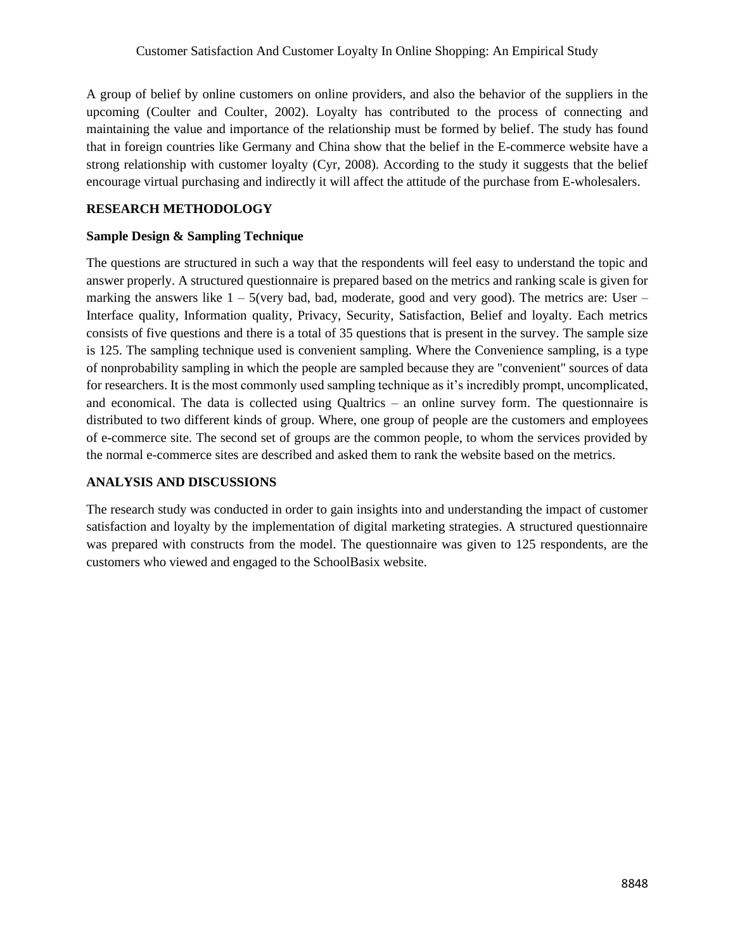A group of belief by online customers on online providers, and also the behavior of the suppliers in the upcoming (Coulter and Coulter, 2002). Loyalty has contributed to the process of connecting and maintaining the value and importance of the relationship must be formed by belief. The study has found that in foreign countries like Germany and China show that the belief in the E-commerce website have a strong relationship with customer loyalty (Cyr, 2008). According to the study it suggests that the belief encourage virtual purchasing and indirectly it will affect the attitude of the purchase from E-wholesalers.

### **RESEARCH METHODOLOGY**

### **Sample Design & Sampling Technique**

The questions are structured in such a way that the respondents will feel easy to understand the topic and answer properly. A structured questionnaire is prepared based on the metrics and ranking scale is given for marking the answers like  $1 - 5$ (very bad, bad, moderate, good and very good). The metrics are: User – Interface quality, Information quality, Privacy, Security, Satisfaction, Belief and loyalty. Each metrics consists of five questions and there is a total of 35 questions that is present in the survey. The sample size is 125. The sampling technique used is convenient sampling. Where the Convenience sampling, is a type of nonprobability sampling in which the people are sampled because they are "convenient" sources of data for researchers. It is the most commonly used sampling technique as it's incredibly prompt, uncomplicated, and economical. The data is collected using Qualtrics – an online survey form. The questionnaire is distributed to two different kinds of group. Where, one group of people are the customers and employees of e-commerce site. The second set of groups are the common people, to whom the services provided by the normal e-commerce sites are described and asked them to rank the website based on the metrics.

### **ANALYSIS AND DISCUSSIONS**

The research study was conducted in order to gain insights into and understanding the impact of customer satisfaction and loyalty by the implementation of digital marketing strategies. A structured questionnaire was prepared with constructs from the model. The questionnaire was given to 125 respondents, are the customers who viewed and engaged to the SchoolBasix website.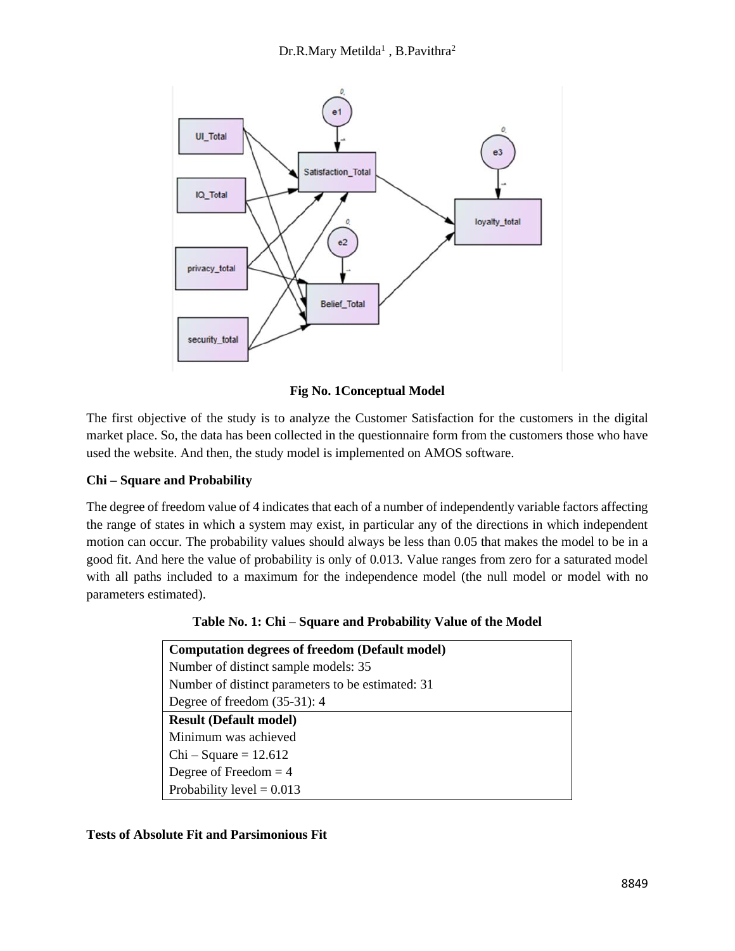

**Fig No. 1Conceptual Model**

The first objective of the study is to analyze the Customer Satisfaction for the customers in the digital market place. So, the data has been collected in the questionnaire form from the customers those who have used the website. And then, the study model is implemented on AMOS software.

# **Chi – Square and Probability**

The degree of freedom value of 4 indicates that each of a number of independently variable factors affecting the range of states in which a system may exist, in particular any of the directions in which independent motion can occur. The probability values should always be less than 0.05 that makes the model to be in a good fit. And here the value of probability is only of 0.013. Value ranges from zero for a saturated model with all paths included to a maximum for the independence model (the null model or model with no parameters estimated).

**Table No. 1: Chi – Square and Probability Value of the Model**

| <b>Computation degrees of freedom (Default model)</b> |
|-------------------------------------------------------|
| Number of distinct sample models: 35                  |
| Number of distinct parameters to be estimated: 31     |
| Degree of freedom $(35-31)$ : 4                       |
| <b>Result (Default model)</b>                         |
| Minimum was achieved                                  |
| $Chi-Square = 12.612$                                 |
| Degree of Freedom $=$ 4                               |
| Probability level = $0.013$                           |

# **Tests of Absolute Fit and Parsimonious Fit**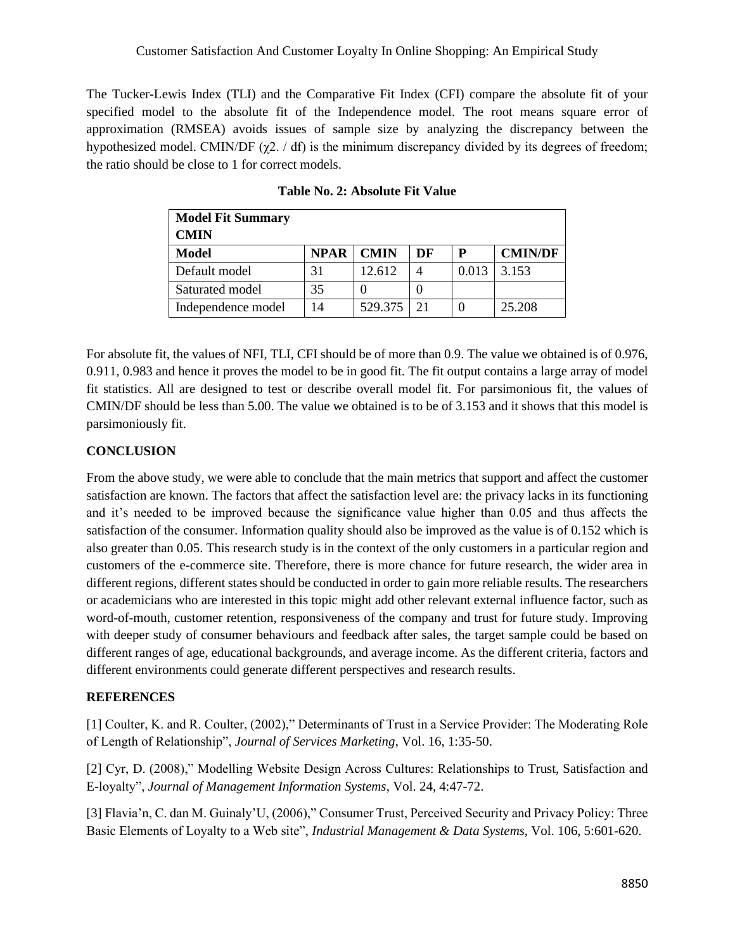The Tucker-Lewis Index (TLI) and the Comparative Fit Index (CFI) compare the absolute fit of your specified model to the absolute fit of the Independence model. The root means square error of approximation (RMSEA) avoids issues of sample size by analyzing the discrepancy between the hypothesized model. CMIN/DF ( $χ$ 2. / df) is the minimum discrepancy divided by its degrees of freedom; the ratio should be close to 1 for correct models.

| <b>Model Fit Summary</b> |             |             |    |       |                |
|--------------------------|-------------|-------------|----|-------|----------------|
| <b>CMIN</b>              |             |             |    |       |                |
| Model                    | <b>NPAR</b> | <b>CMIN</b> | DF | P     | <b>CMIN/DF</b> |
| Default model            | 31          | 12.612      |    | 0.013 | 3.153          |
| Saturated model          | 35          |             |    |       |                |
| Independence model       | 14          | 529.375     | 21 |       | 25.208         |

For absolute fit, the values of NFI, TLI, CFI should be of more than 0.9. The value we obtained is of 0.976, 0.911, 0.983 and hence it proves the model to be in good fit. The fit output contains a large array of model fit statistics. All are designed to test or describe overall model fit. For parsimonious fit, the values of CMIN/DF should be less than 5.00. The value we obtained is to be of 3.153 and it shows that this model is parsimoniously fit.

# **CONCLUSION**

From the above study, we were able to conclude that the main metrics that support and affect the customer satisfaction are known. The factors that affect the satisfaction level are: the privacy lacks in its functioning and it's needed to be improved because the significance value higher than 0.05 and thus affects the satisfaction of the consumer. Information quality should also be improved as the value is of 0.152 which is also greater than 0.05. This research study is in the context of the only customers in a particular region and customers of the e-commerce site. Therefore, there is more chance for future research, the wider area in different regions, different states should be conducted in order to gain more reliable results. The researchers or academicians who are interested in this topic might add other relevant external influence factor, such as word-of-mouth, customer retention, responsiveness of the company and trust for future study. Improving with deeper study of consumer behaviours and feedback after sales, the target sample could be based on different ranges of age, educational backgrounds, and average income. As the different criteria, factors and different environments could generate different perspectives and research results.

# **REFERENCES**

[1] Coulter, K. and R. Coulter, (2002)," Determinants of Trust in a Service Provider: The Moderating Role of Length of Relationship", *Journal of Services Marketing*, Vol. 16, 1:35-50.

[2] Cyr, D. (2008)," Modelling Website Design Across Cultures: Relationships to Trust, Satisfaction and E-loyalty", *Journal of Management Information Systems*, Vol. 24, 4:47-72.

[3] Flavia'n, C. dan M. Guinaly'U, (2006)," Consumer Trust, Perceived Security and Privacy Policy: Three Basic Elements of Loyalty to a Web site", *Industrial Management & Data Systems*, Vol. 106, 5:601-620.